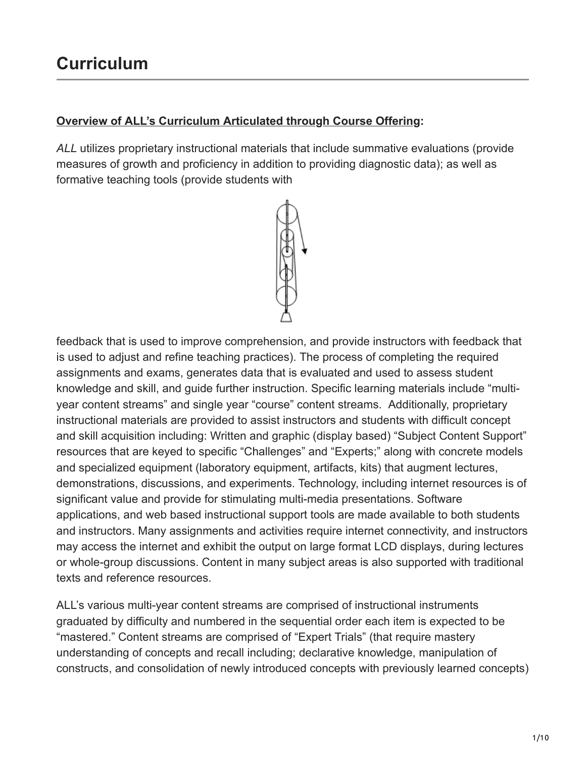## **Overview of ALL's Curriculum Articulated through Course Offering:**

*ALL* utilizes proprietary instructional materials that include summative evaluations (provide measures of growth and proficiency in addition to providing diagnostic data); as well as formative teaching tools (provide students with



feedback that is used to improve comprehension, and provide instructors with feedback that is used to adjust and refine teaching practices). The process of completing the required assignments and exams, generates data that is evaluated and used to assess student knowledge and skill, and guide further instruction. Specific learning materials include "multiyear content streams" and single year "course" content streams. Additionally, proprietary instructional materials are provided to assist instructors and students with difficult concept and skill acquisition including: Written and graphic (display based) "Subject Content Support" resources that are keyed to specific "Challenges" and "Experts;" along with concrete models and specialized equipment (laboratory equipment, artifacts, kits) that augment lectures, demonstrations, discussions, and experiments. Technology, including internet resources is of significant value and provide for stimulating multi-media presentations. Software applications, and web based instructional support tools are made available to both students and instructors. Many assignments and activities require internet connectivity, and instructors may access the internet and exhibit the output on large format LCD displays, during lectures or whole-group discussions. Content in many subject areas is also supported with traditional texts and reference resources.

ALL's various multi-year content streams are comprised of instructional instruments graduated by difficulty and numbered in the sequential order each item is expected to be "mastered." Content streams are comprised of "Expert Trials" (that require mastery understanding of concepts and recall including; declarative knowledge, manipulation of constructs, and consolidation of newly introduced concepts with previously learned concepts)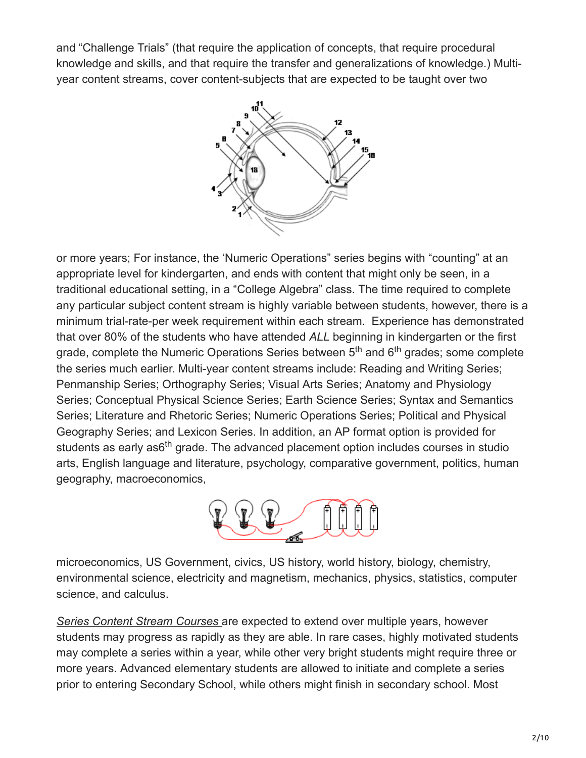and "Challenge Trials" (that require the application of concepts, that require procedural knowledge and skills, and that require the transfer and generalizations of knowledge.) Multiyear content streams, cover content-subjects that are expected to be taught over two



or more years; For instance, the 'Numeric Operations" series begins with "counting" at an appropriate level for kindergarten, and ends with content that might only be seen, in a traditional educational setting, in a "College Algebra" class. The time required to complete any particular subject content stream is highly variable between students, however, there is a minimum trial-rate-per week requirement within each stream. Experience has demonstrated that over 80% of the students who have attended *ALL* beginning in kindergarten or the first grade, complete the Numeric Operations Series between 5<sup>th</sup> and 6<sup>th</sup> grades; some complete the series much earlier. Multi-year content streams include: Reading and Writing Series; Penmanship Series; Orthography Series; Visual Arts Series; Anatomy and Physiology Series; Conceptual Physical Science Series; Earth Science Series; Syntax and Semantics Series; Literature and Rhetoric Series; Numeric Operations Series; Political and Physical Geography Series; and Lexicon Series. In addition, an AP format option is provided for students as early as6<sup>th</sup> grade. The advanced placement option includes courses in studio arts, English language and literature, psychology, comparative government, politics, human geography, macroeconomics,



microeconomics, US Government, civics, US history, world history, biology, chemistry, environmental science, electricity and magnetism, mechanics, physics, statistics, computer science, and calculus.

*Series Content Stream Courses* are expected to extend over multiple years, however students may progress as rapidly as they are able. In rare cases, highly motivated students may complete a series within a year, while other very bright students might require three or more years. Advanced elementary students are allowed to initiate and complete a series prior to entering Secondary School, while others might finish in secondary school. Most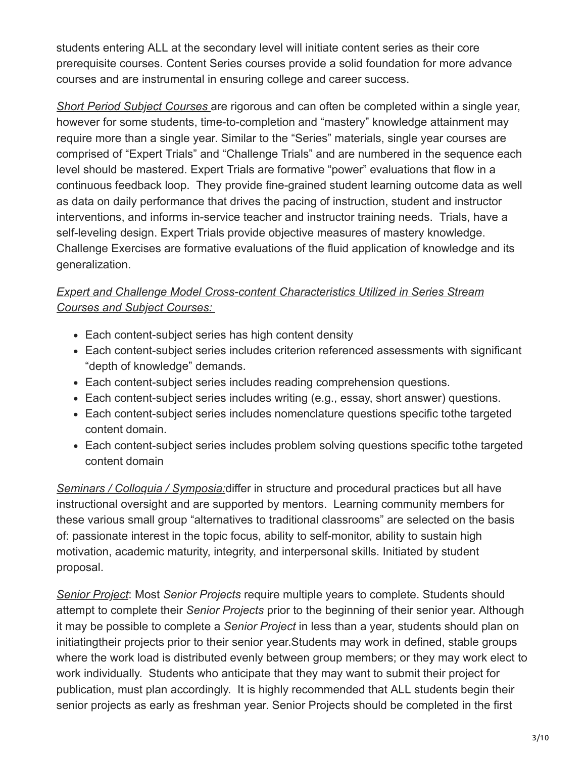students entering ALL at the secondary level will initiate content series as their core prerequisite courses. Content Series courses provide a solid foundation for more advance courses and are instrumental in ensuring college and career success.

*Short Period Subject Courses* are rigorous and can often be completed within a single year, however for some students, time-to-completion and "mastery" knowledge attainment may require more than a single year. Similar to the "Series" materials, single year courses are comprised of "Expert Trials" and "Challenge Trials" and are numbered in the sequence each level should be mastered. Expert Trials are formative "power" evaluations that flow in a continuous feedback loop. They provide fine-grained student learning outcome data as well as data on daily performance that drives the pacing of instruction, student and instructor interventions, and informs in-service teacher and instructor training needs. Trials, have a self-leveling design. Expert Trials provide objective measures of mastery knowledge. Challenge Exercises are formative evaluations of the fluid application of knowledge and its generalization.

## *Expert and Challenge Model Cross-content Characteristics Utilized in Series Stream Courses and Subject Courses:*

- Each content-subject series has high content density
- Each content-subject series includes criterion referenced assessments with significant "depth of knowledge" demands.
- Each content-subject series includes reading comprehension questions.
- Each content-subject series includes writing (e.g., essay, short answer) questions.
- Each content-subject series includes nomenclature questions specific tothe targeted content domain.
- Each content-subject series includes problem solving questions specific tothe targeted content domain

*Seminars / Colloquia / Symposia:*differ in structure and procedural practices but all have instructional oversight and are supported by mentors. Learning community members for these various small group "alternatives to traditional classrooms" are selected on the basis of: passionate interest in the topic focus, ability to self-monitor, ability to sustain high motivation, academic maturity, integrity, and interpersonal skills. Initiated by student proposal.

*Senior Project*: Most *Senior Projects* require multiple years to complete. Students should attempt to complete their *Senior Projects* prior to the beginning of their senior year. Although it may be possible to complete a *Senior Project* in less than a year, students should plan on initiatingtheir projects prior to their senior year.Students may work in defined, stable groups where the work load is distributed evenly between group members; or they may work elect to work individually. Students who anticipate that they may want to submit their project for publication, must plan accordingly. It is highly recommended that ALL students begin their senior projects as early as freshman year. Senior Projects should be completed in the first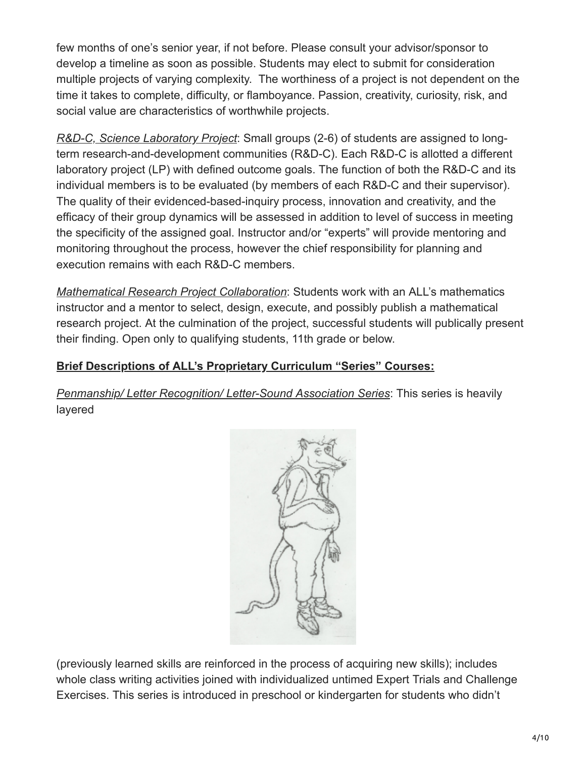few months of one's senior year, if not before. Please consult your advisor/sponsor to develop a timeline as soon as possible. Students may elect to submit for consideration multiple projects of varying complexity. The worthiness of a project is not dependent on the time it takes to complete, difficulty, or flamboyance. Passion, creativity, curiosity, risk, and social value are characteristics of worthwhile projects.

*R&D-C, Science Laboratory Project*: Small groups (2-6) of students are assigned to longterm research-and-development communities (R&D-C). Each R&D-C is allotted a different laboratory project (LP) with defined outcome goals. The function of both the R&D-C and its individual members is to be evaluated (by members of each R&D-C and their supervisor). The quality of their evidenced-based-inquiry process, innovation and creativity, and the efficacy of their group dynamics will be assessed in addition to level of success in meeting the specificity of the assigned goal. Instructor and/or "experts" will provide mentoring and monitoring throughout the process, however the chief responsibility for planning and execution remains with each R&D-C members.

*Mathematical Research Project Collaboration*: Students work with an ALL's mathematics instructor and a mentor to select, design, execute, and possibly publish a mathematical research project. At the culmination of the project, successful students will publically present their finding. Open only to qualifying students, 11th grade or below.

## **Brief Descriptions of ALL's Proprietary Curriculum "Series" Courses:**

*Penmanship/ Letter Recognition/ Letter-Sound Association Series*: This series is heavily layered



(previously learned skills are reinforced in the process of acquiring new skills); includes whole class writing activities joined with individualized untimed Expert Trials and Challenge Exercises. This series is introduced in preschool or kindergarten for students who didn't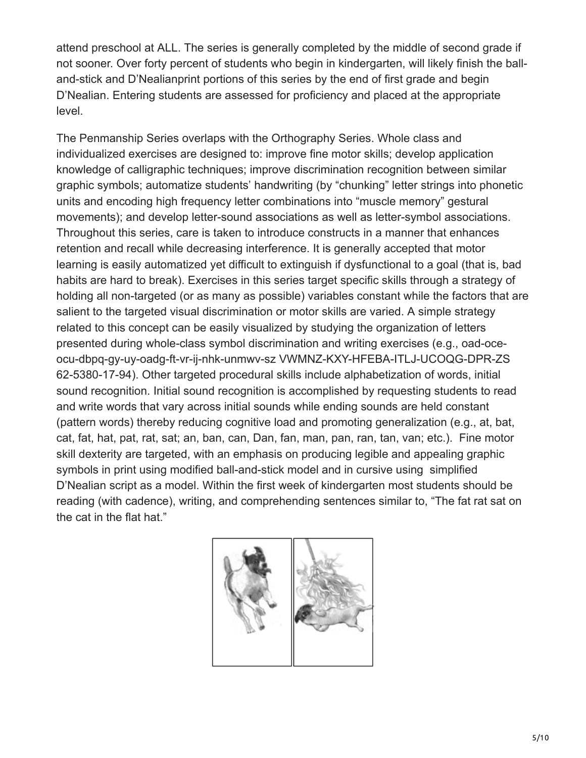attend preschool at ALL. The series is generally completed by the middle of second grade if not sooner. Over forty percent of students who begin in kindergarten, will likely finish the balland-stick and D'Nealianprint portions of this series by the end of first grade and begin D'Nealian. Entering students are assessed for proficiency and placed at the appropriate level.

The Penmanship Series overlaps with the Orthography Series. Whole class and individualized exercises are designed to: improve fine motor skills; develop application knowledge of calligraphic techniques; improve discrimination recognition between similar graphic symbols; automatize students' handwriting (by "chunking" letter strings into phonetic units and encoding high frequency letter combinations into "muscle memory" gestural movements); and develop letter-sound associations as well as letter-symbol associations. Throughout this series, care is taken to introduce constructs in a manner that enhances retention and recall while decreasing interference. It is generally accepted that motor learning is easily automatized yet difficult to extinguish if dysfunctional to a goal (that is, bad habits are hard to break). Exercises in this series target specific skills through a strategy of holding all non-targeted (or as many as possible) variables constant while the factors that are salient to the targeted visual discrimination or motor skills are varied. A simple strategy related to this concept can be easily visualized by studying the organization of letters presented during whole-class symbol discrimination and writing exercises (e.g., oad-oceocu-dbpq-gy-uy-oadg-ft-vr-ij-nhk-unmwv-sz VWMNZ-KXY-HFEBA-ITLJ-UCOQG-DPR-ZS 62-5380-17-94). Other targeted procedural skills include alphabetization of words, initial sound recognition. Initial sound recognition is accomplished by requesting students to read and write words that vary across initial sounds while ending sounds are held constant (pattern words) thereby reducing cognitive load and promoting generalization (e.g., at, bat, cat, fat, hat, pat, rat, sat; an, ban, can, Dan, fan, man, pan, ran, tan, van; etc.). Fine motor skill dexterity are targeted, with an emphasis on producing legible and appealing graphic symbols in print using modified ball-and-stick model and in cursive using simplified D'Nealian script as a model. Within the first week of kindergarten most students should be reading (with cadence), writing, and comprehending sentences similar to, "The fat rat sat on the cat in the flat hat."

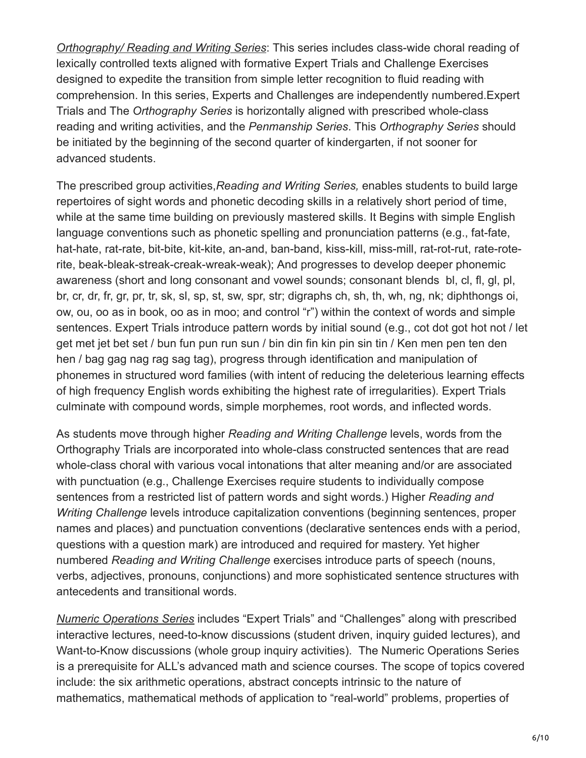*Orthography/ Reading and Writing Series*: This series includes class-wide choral reading of lexically controlled texts aligned with formative Expert Trials and Challenge Exercises designed to expedite the transition from simple letter recognition to fluid reading with comprehension. In this series, Experts and Challenges are independently numbered.Expert Trials and The *Orthography Series* is horizontally aligned with prescribed whole-class reading and writing activities, and the *Penmanship Series*. This *Orthography Series* should be initiated by the beginning of the second quarter of kindergarten, if not sooner for advanced students.

The prescribed group activities,*Reading and Writing Series,* enables students to build large repertoires of sight words and phonetic decoding skills in a relatively short period of time, while at the same time building on previously mastered skills. It Begins with simple English language conventions such as phonetic spelling and pronunciation patterns (e.g., fat-fate, hat-hate, rat-rate, bit-bite, kit-kite, an-and, ban-band, kiss-kill, miss-mill, rat-rot-rut, rate-roterite, beak-bleak-streak-creak-wreak-weak); And progresses to develop deeper phonemic awareness (short and long consonant and vowel sounds; consonant blends bl, cl, fl, gl, pl, br, cr, dr, fr, gr, pr, tr, sk, sl, sp, st, sw, spr, str; digraphs ch, sh, th, wh, ng, nk; diphthongs oi, ow, ou, oo as in book, oo as in moo; and control "r") within the context of words and simple sentences. Expert Trials introduce pattern words by initial sound (e.g., cot dot got hot not / let get met jet bet set / bun fun pun run sun / bin din fin kin pin sin tin / Ken men pen ten den hen / bag gag nag rag sag tag), progress through identification and manipulation of phonemes in structured word families (with intent of reducing the deleterious learning effects of high frequency English words exhibiting the highest rate of irregularities). Expert Trials culminate with compound words, simple morphemes, root words, and inflected words.

As students move through higher *Reading and Writing Challenge* levels, words from the Orthography Trials are incorporated into whole-class constructed sentences that are read whole-class choral with various vocal intonations that alter meaning and/or are associated with punctuation (e.g., Challenge Exercises require students to individually compose sentences from a restricted list of pattern words and sight words.) Higher *Reading and Writing Challenge* levels introduce capitalization conventions (beginning sentences, proper names and places) and punctuation conventions (declarative sentences ends with a period, questions with a question mark) are introduced and required for mastery. Yet higher numbered *Reading and Writing Challenge* exercises introduce parts of speech (nouns, verbs, adjectives, pronouns, conjunctions) and more sophisticated sentence structures with antecedents and transitional words.

*Numeric Operations Series* includes "Expert Trials" and "Challenges" along with prescribed interactive lectures, need-to-know discussions (student driven, inquiry guided lectures), and Want-to-Know discussions (whole group inquiry activities). The Numeric Operations Series is a prerequisite for ALL's advanced math and science courses. The scope of topics covered include: the six arithmetic operations, abstract concepts intrinsic to the nature of mathematics, mathematical methods of application to "real-world" problems, properties of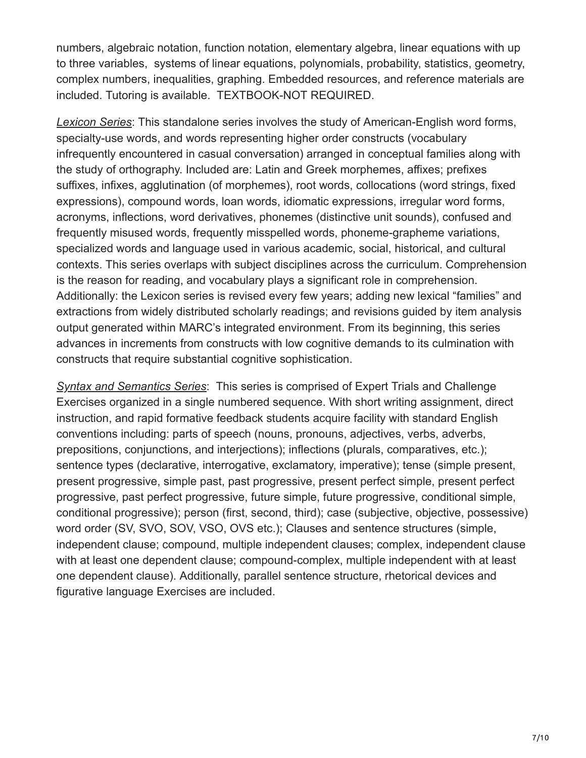numbers, algebraic notation, function notation, elementary algebra, linear equations with up to three variables, systems of linear equations, polynomials, probability, statistics, geometry, complex numbers, inequalities, graphing. Embedded resources, and reference materials are included. Tutoring is available. TEXTBOOK-NOT REQUIRED.

*Lexicon Series*: This standalone series involves the study of American-English word forms, specialty-use words, and words representing higher order constructs (vocabulary infrequently encountered in casual conversation) arranged in conceptual families along with the study of orthography. Included are: Latin and Greek morphemes, affixes; prefixes suffixes, infixes, agglutination (of morphemes), root words, collocations (word strings, fixed expressions), compound words, loan words, idiomatic expressions, irregular word forms, acronyms, inflections, word derivatives, phonemes (distinctive unit sounds), confused and frequently misused words, frequently misspelled words, phoneme-grapheme variations, specialized words and language used in various academic, social, historical, and cultural contexts. This series overlaps with subject disciplines across the curriculum. Comprehension is the reason for reading, and vocabulary plays a significant role in comprehension. Additionally: the Lexicon series is revised every few years; adding new lexical "families" and extractions from widely distributed scholarly readings; and revisions guided by item analysis output generated within MARC's integrated environment. From its beginning, this series advances in increments from constructs with low cognitive demands to its culmination with constructs that require substantial cognitive sophistication.

*Syntax and Semantics Series*: This series is comprised of Expert Trials and Challenge Exercises organized in a single numbered sequence. With short writing assignment, direct instruction, and rapid formative feedback students acquire facility with standard English conventions including: parts of speech (nouns, pronouns, adjectives, verbs, adverbs, prepositions, conjunctions, and interjections); inflections (plurals, comparatives, etc.); sentence types (declarative, interrogative, exclamatory, imperative); tense (simple present, present progressive, simple past, past progressive, present perfect simple, present perfect progressive, past perfect progressive, future simple, future progressive, conditional simple, conditional progressive); person (first, second, third); case (subjective, objective, possessive) word order (SV, SVO, SOV, VSO, OVS etc.); Clauses and sentence structures (simple, independent clause; compound, multiple independent clauses; complex, independent clause with at least one dependent clause; compound-complex, multiple independent with at least one dependent clause). Additionally, parallel sentence structure, rhetorical devices and figurative language Exercises are included.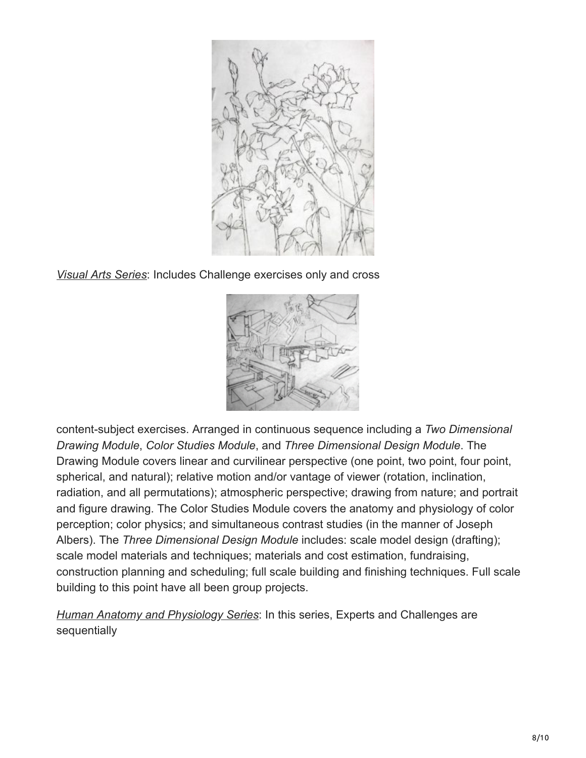

*Visual Arts Series*: Includes Challenge exercises only and cross



content-subject exercises. Arranged in continuous sequence including a *Two Dimensional Drawing Module*, *Color Studies Module*, and *Three Dimensional Design Module*. The Drawing Module covers linear and curvilinear perspective (one point, two point, four point, spherical, and natural); relative motion and/or vantage of viewer (rotation, inclination, radiation, and all permutations); atmospheric perspective; drawing from nature; and portrait and figure drawing. The Color Studies Module covers the anatomy and physiology of color perception; color physics; and simultaneous contrast studies (in the manner of Joseph Albers). The *Three Dimensional Design Module* includes: scale model design (drafting); scale model materials and techniques; materials and cost estimation, fundraising, construction planning and scheduling; full scale building and finishing techniques. Full scale building to this point have all been group projects.

*Human Anatomy and Physiology Series*: In this series, Experts and Challenges are sequentially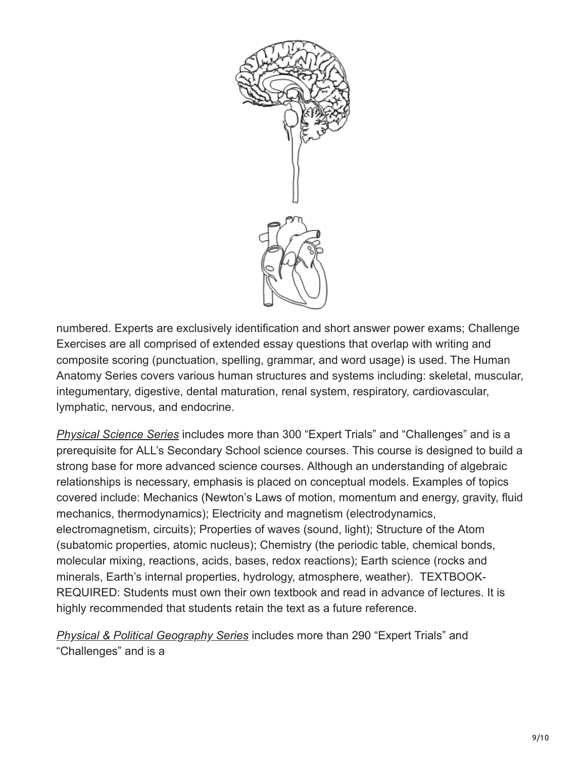

numbered. Experts are exclusively identification and short answer power exams; Challenge Exercises are all comprised of extended essay questions that overlap with writing and composite scoring (punctuation, spelling, grammar, and word usage) is used. The Human Anatomy Series covers various human structures and systems including: skeletal, muscular, integumentary, digestive, dental maturation, renal system, respiratory, cardiovascular, lymphatic, nervous, and endocrine.

*Physical Science Series* includes more than 300 "Expert Trials" and "Challenges" and is a prerequisite for ALL's Secondary School science courses. This course is designed to build a strong base for more advanced science courses. Although an understanding of algebraic relationships is necessary, emphasis is placed on conceptual models. Examples of topics covered include: Mechanics (Newton's Laws of motion, momentum and energy, gravity, fluid mechanics, thermodynamics); Electricity and magnetism (electrodynamics, electromagnetism, circuits); Properties of waves (sound, light); Structure of the Atom (subatomic properties, atomic nucleus); Chemistry (the periodic table, chemical bonds, molecular mixing, reactions, acids, bases, redox reactions); Earth science (rocks and minerals, Earth's internal properties, hydrology, atmosphere, weather). TEXTBOOK-REQUIRED: Students must own their own textbook and read in advance of lectures. It is highly recommended that students retain the text as a future reference.

*Physical & Political Geography Series* includes more than 290 "Expert Trials" and "Challenges" and is a